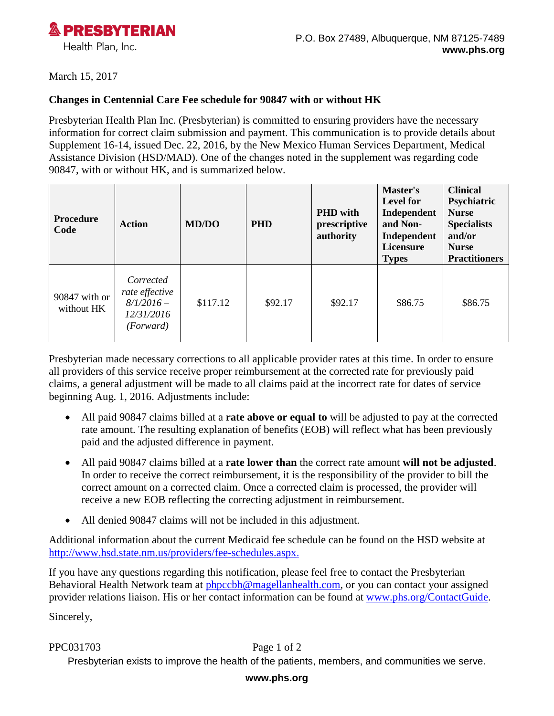

## March 15, 2017

## **Changes in Centennial Care Fee schedule for 90847 with or without HK**

Presbyterian Health Plan Inc. (Presbyterian) is committed to ensuring providers have the necessary information for correct claim submission and payment. This communication is to provide details about Supplement 16-14, issued Dec. 22, 2016, by the New Mexico Human Services Department, Medical Assistance Division (HSD/MAD). One of the changes noted in the supplement was regarding code 90847, with or without HK, and is summarized below.

| Procedure<br>Code           | <b>Action</b>                                                         | <b>MD/DO</b> | <b>PHD</b> | <b>PHD</b> with<br>prescriptive<br>authority | Master's<br><b>Level for</b><br>Independent<br>and Non-<br>Independent<br>Licensure<br><b>Types</b> | <b>Clinical</b><br>Psychiatric<br><b>Nurse</b><br><b>Specialists</b><br>and/or<br><b>Nurse</b><br><b>Practitioners</b> |
|-----------------------------|-----------------------------------------------------------------------|--------------|------------|----------------------------------------------|-----------------------------------------------------------------------------------------------------|------------------------------------------------------------------------------------------------------------------------|
| 90847 with or<br>without HK | Corrected<br>rate effective<br>$8/1/2016-$<br>12/31/2016<br>(Forward) | \$117.12     | \$92.17    | \$92.17                                      | \$86.75                                                                                             | \$86.75                                                                                                                |

Presbyterian made necessary corrections to all applicable provider rates at this time. In order to ensure all providers of this service receive proper reimbursement at the corrected rate for previously paid claims, a general adjustment will be made to all claims paid at the incorrect rate for dates of service beginning Aug. 1, 2016. Adjustments include:

- All paid 90847 claims billed at a **rate above or equal to** will be adjusted to pay at the corrected rate amount. The resulting explanation of benefits (EOB) will reflect what has been previously paid and the adjusted difference in payment.
- All paid 90847 claims billed at a **rate lower than** the correct rate amount **will not be adjusted**. In order to receive the correct reimbursement, it is the responsibility of the provider to bill the correct amount on a corrected claim. Once a corrected claim is processed, the provider will receive a new EOB reflecting the correcting adjustment in reimbursement.
- All denied 90847 claims will not be included in this adjustment.

Additional information about the current Medicaid fee schedule can be found on the HSD website at [http://www.hsd.state.nm.us/providers/fee-schedules.aspx.](http://www.hsd.state.nm.us/providers/fee-schedules.aspx)

If you have any questions regarding this notification, please feel free to contact the Presbyterian Behavioral Health Network team at [phpccbh@magellanhealth.com,](mailto:phpccbh@magellanhealth.com) or you can contact your assigned provider relations liaison. His or her contact information can be found at [www.phs.org/ContactGuide.](http://www.phs.org/ContactGuide)

Sincerely,

PPC031703 Page 1 of 2

Presbyterian exists to improve the health of the patients, members, and communities we serve.

## **www.phs.org**